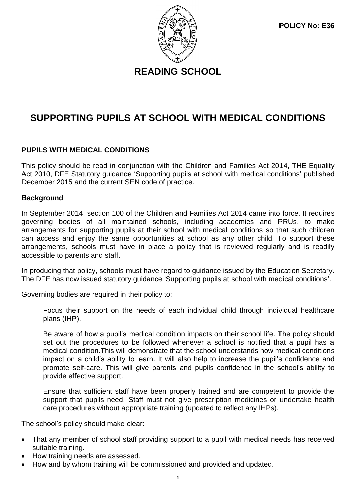**READING SCHOOL**

# **SUPPORTING PUPILS AT SCHOOL WITH MEDICAL CONDITIONS**

# **PUPILS WITH MEDICAL CONDITIONS**

This policy should be read in conjunction with the Children and Families Act 2014, THE Equality Act 2010, DFE Statutory guidance 'Supporting pupils at school with medical conditions' published December 2015 and the current SEN code of practice.

# **Background**

In September 2014, section 100 of the Children and Families Act 2014 came into force. It requires governing bodies of all maintained schools, including academies and PRUs, to make arrangements for supporting pupils at their school with medical conditions so that such children can access and enjoy the same opportunities at school as any other child. To support these arrangements, schools must have in place a policy that is reviewed regularly and is readily accessible to parents and staff.

In producing that policy, schools must have regard to guidance issued by the Education Secretary. The DFE has now issued statutory guidance 'Supporting pupils at school with medical conditions'.

Governing bodies are required in their policy to:

Focus their support on the needs of each individual child through individual healthcare plans (IHP).

Be aware of how a pupil's medical condition impacts on their school life. The policy should set out the procedures to be followed whenever a school is notified that a pupil has a medical condition.This will demonstrate that the school understands how medical conditions impact on a child's ability to learn. It will also help to increase the pupil's confidence and promote self-care. This will give parents and pupils confidence in the school's ability to provide effective support.

Ensure that sufficient staff have been properly trained and are competent to provide the support that pupils need. Staff must not give prescription medicines or undertake health care procedures without appropriate training (updated to reflect any IHPs).

The school's policy should make clear:

- That any member of school staff providing support to a pupil with medical needs has received suitable training.
- How training needs are assessed.
- How and by whom training will be commissioned and provided and updated.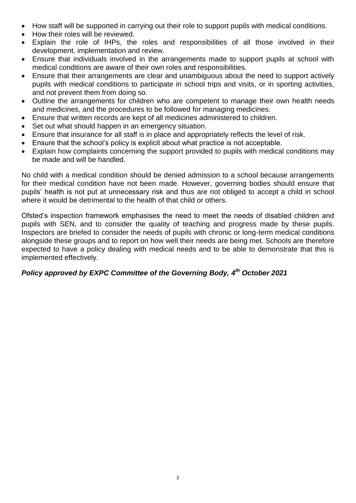- How staff will be supported in carrying out their role to support pupils with medical conditions.
- How their roles will be reviewed.
- Explain the role of IHPs, the roles and responsibilities of all those involved in their development, implementation and review.
- Ensure that individuals involved in the arrangements made to support pupils at school with medical conditions are aware of their own roles and responsibilities.
- Ensure that their arrangements are clear and unambiguous about the need to support actively pupils with medical conditions to participate in school trips and visits, or in sporting activities, and not prevent them from doing so.
- Outline the arrangements for children who are competent to manage their own health needs and medicines, and the procedures to be followed for managing medicines.
- Ensure that written records are kept of all medicines administered to children.
- Set out what should happen in an emergency situation.
- Ensure that insurance for all staff is in place and appropriately reflects the level of risk.
- Ensure that the school's policy is explicit about what practice is not acceptable.
- Explain how complaints concerning the support provided to pupils with medical conditions may be made and will be handled.

No child with a medical condition should be denied admission to a school because arrangements for their medical condition have not been made. However, governing bodies should ensure that pupils' health is not put at unnecessary risk and thus are not obliged to accept a child in school where it would be detrimental to the health of that child or others.

Ofsted's inspection framework emphasises the need to meet the needs of disabled children and pupils with SEN, and to consider the quality of teaching and progress made by these pupils. Inspectors are briefed to consider the needs of pupils with chronic or long-term medical conditions alongside these groups and to report on how well their needs are being met. Schools are therefore expected to have a policy dealing with medical needs and to be able to demonstrate that this is implemented effectively.

# Policy approved by EXPC Committee of the Governing Body, 4<sup>th</sup> October 2021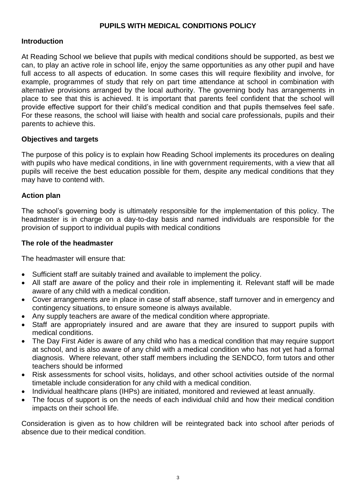# **PUPILS WITH MEDICAL CONDITIONS POLICY**

#### **Introduction**

At Reading School we believe that pupils with medical conditions should be supported, as best we can, to play an active role in school life, enjoy the same opportunities as any other pupil and have full access to all aspects of education. In some cases this will require flexibility and involve, for example, programmes of study that rely on part time attendance at school in combination with alternative provisions arranged by the local authority. The governing body has arrangements in place to see that this is achieved. It is important that parents feel confident that the school will provide effective support for their child's medical condition and that pupils themselves feel safe. For these reasons, the school will liaise with health and social care professionals, pupils and their parents to achieve this.

#### **Objectives and targets**

The purpose of this policy is to explain how Reading School implements its procedures on dealing with pupils who have medical conditions, in line with government requirements, with a view that all pupils will receive the best education possible for them, despite any medical conditions that they may have to contend with.

#### **Action plan**

The school's governing body is ultimately responsible for the implementation of this policy. The headmaster is in charge on a day-to-day basis and named individuals are responsible for the provision of support to individual pupils with medical conditions

#### **The role of the headmaster**

The headmaster will ensure that:

- Sufficient staff are suitably trained and available to implement the policy.
- All staff are aware of the policy and their role in implementing it. Relevant staff will be made aware of any child with a medical condition.
- Cover arrangements are in place in case of staff absence, staff turnover and in emergency and contingency situations, to ensure someone is always available.
- Any supply teachers are aware of the medical condition where appropriate.
- Staff are appropriately insured and are aware that they are insured to support pupils with medical conditions.
- The Day First Aider is aware of any child who has a medical condition that may require support at school, and is also aware of any child with a medical condition who has not yet had a formal diagnosis. Where relevant, other staff members including the SENDCO, form tutors and other teachers should be informed
- Risk assessments for school visits, holidays, and other school activities outside of the normal timetable include consideration for any child with a medical condition.
- Individual healthcare plans (IHPs) are initiated, monitored and reviewed at least annually.
- The focus of support is on the needs of each individual child and how their medical condition impacts on their school life.

Consideration is given as to how children will be reintegrated back into school after periods of absence due to their medical condition.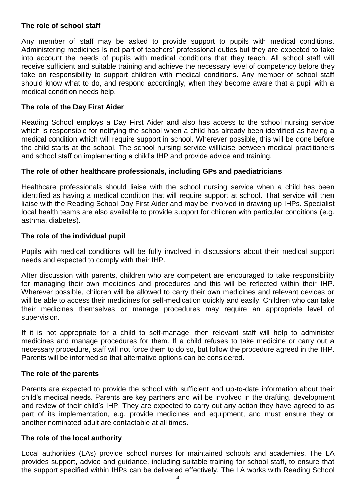### **The role of school staff**

Any member of staff may be asked to provide support to pupils with medical conditions. Administering medicines is not part of teachers' professional duties but they are expected to take into account the needs of pupils with medical conditions that they teach. All school staff will receive sufficient and suitable training and achieve the necessary level of competency before they take on responsibility to support children with medical conditions. Any member of school staff should know what to do, and respond accordingly, when they become aware that a pupil with a medical condition needs help.

### **The role of the Day First Aider**

Reading School employs a Day First Aider and also has access to the school nursing service which is responsible for notifying the school when a child has already been identified as having a medical condition which will require support in school. Wherever possible, this will be done before the child starts at the school. The school nursing service willliaise between medical practitioners and school staff on implementing a child's IHP and provide advice and training.

# **The role of other healthcare professionals, including GPs and paediatricians**

Healthcare professionals should liaise with the school nursing service when a child has been identified as having a medical condition that will require support at school. That service will then liaise with the Reading School Day First Aider and may be involved in drawing up IHPs. Specialist local health teams are also available to provide support for children with particular conditions (e.g. asthma, diabetes).

# **The role of the individual pupil**

Pupils with medical conditions will be fully involved in discussions about their medical support needs and expected to comply with their IHP.

After discussion with parents, children who are competent are encouraged to take responsibility for managing their own medicines and procedures and this will be reflected within their IHP. Wherever possible, children will be allowed to carry their own medicines and relevant devices or will be able to access their medicines for self-medication quickly and easily. Children who can take their medicines themselves or manage procedures may require an appropriate level of supervision.

If it is not appropriate for a child to self-manage, then relevant staff will help to administer medicines and manage procedures for them. If a child refuses to take medicine or carry out a necessary procedure, staff will not force them to do so, but follow the procedure agreed in the IHP. Parents will be informed so that alternative options can be considered.

#### **The role of the parents**

Parents are expected to provide the school with sufficient and up-to-date information about their child's medical needs. Parents are key partners and will be involved in the drafting, development and review of their child's IHP. They are expected to carry out any action they have agreed to as part of its implementation, e.g. provide medicines and equipment, and must ensure they or another nominated adult are contactable at all times.

#### **The role of the local authority**

Local authorities (LAs) provide school nurses for maintained schools and academies. The LA provides support, advice and guidance, including suitable training for school staff, to ensure that the support specified within IHPs can be delivered effectively. The LA works with Reading School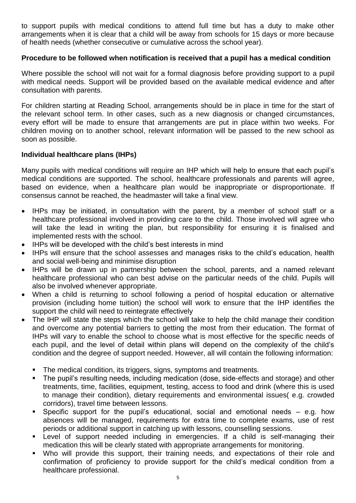to support pupils with medical conditions to attend full time but has a duty to make other arrangements when it is clear that a child will be away from schools for 15 days or more because of health needs (whether consecutive or cumulative across the school year).

# **Procedure to be followed when notification is received that a pupil has a medical condition**

Where possible the school will not wait for a formal diagnosis before providing support to a pupil with medical needs. Support will be provided based on the available medical evidence and after consultation with parents.

For children starting at Reading School, arrangements should be in place in time for the start of the relevant school term. In other cases, such as a new diagnosis or changed circumstances, every effort will be made to ensure that arrangements are put in place within two weeks. For children moving on to another school, relevant information will be passed to the new school as soon as possible.

# **Individual healthcare plans (IHPs)**

Many pupils with medical conditions will require an IHP which will help to ensure that each pupil's medical conditions are supported. The school, healthcare professionals and parents will agree, based on evidence, when a healthcare plan would be inappropriate or disproportionate. If consensus cannot be reached, the headmaster will take a final view.

- IHPs may be initiated, in consultation with the parent, by a member of school staff or a healthcare professional involved in providing care to the child. Those involved will agree who will take the lead in writing the plan, but responsibility for ensuring it is finalised and implemented rests with the school.
- IHPs will be developed with the child's best interests in mind
- IHPs will ensure that the school assesses and manages risks to the child's education, health and social well-being and minimise disruption
- IHPs will be drawn up in partnership between the school, parents, and a named relevant healthcare professional who can best advise on the particular needs of the child. Pupils will also be involved whenever appropriate.
- When a child is returning to school following a period of hospital education or alternative provision (including home tuition) the school will work to ensure that the IHP identifies the support the child will need to reintegrate effectively
- The IHP will state the steps which the school will take to help the child manage their condition and overcome any potential barriers to getting the most from their education. The format of IHPs will vary to enable the school to choose what is most effective for the specific needs of each pupil, and the level of detail within plans will depend on the complexity of the child's condition and the degree of support needed. However, all will contain the following information:
	- The medical condition, its triggers, signs, symptoms and treatments.
	- The pupil's resulting needs, including medication (dose, side-effects and storage) and other treatments, time, facilities, equipment, testing, access to food and drink (where this is used to manage their condition), dietary requirements and environmental issues( e.g. crowded corridors), travel time between lessons.
	- Specific support for the pupil's educational, social and emotional needs  $-$  e.g. how absences will be managed, requirements for extra time to complete exams, use of rest periods or additional support in catching up with lessons, counselling sessions.
	- Level of support needed including in emergencies. If a child is self-managing their medication this will be clearly stated with appropriate arrangements for monitoring.
	- Who will provide this support, their training needs, and expectations of their role and confirmation of proficiency to provide support for the child's medical condition from a healthcare professional.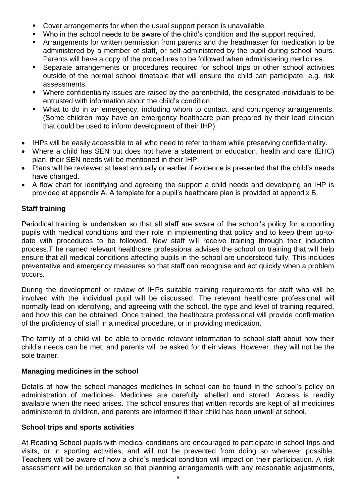- Cover arrangements for when the usual support person is unavailable.
- Who in the school needs to be aware of the child's condition and the support required.
- Arrangements for written permission from parents and the headmaster for medication to be administered by a member of staff, or self-administered by the pupil during school hours. Parents will have a copy of the procedures to be followed when administering medicines.
- Separate arrangements or procedures required for school trips or other school activities outside of the normal school timetable that will ensure the child can participate, e.g. risk assessments.
- Where confidentiality issues are raised by the parent/child, the designated individuals to be entrusted with information about the child's condition.
- What to do in an emergency, including whom to contact, and contingency arrangements. (Some children may have an emergency healthcare plan prepared by their lead clinician that could be used to inform development of their IHP).
- IHPs will be easily accessible to all who need to refer to them while preserving confidentiality.
- Where a child has SEN but does not have a statement or education, health and care (EHC) plan, their SEN needs will be mentioned in their IHP.
- Plans will be reviewed at least annually or earlier if evidence is presented that the child's needs have changed.
- A flow chart for identifying and agreeing the support a child needs and developing an IHP is provided at appendix A. A template for a pupil's healthcare plan is provided at appendix B.

# **Staff training**

Periodical training is undertaken so that all staff are aware of the school's policy for supporting pupils with medical conditions and their role in implementing that policy and to keep them up-todate with procedures to be followed. New staff will receive training through their induction process.T he named relevant healthcare professional advises the school on training that will help ensure that all medical conditions affecting pupils in the school are understood fully. This includes preventative and emergency measures so that staff can recognise and act quickly when a problem occurs.

During the development or review of IHPs suitable training requirements for staff who will be involved with the individual pupil will be discussed. The relevant healthcare professional will normally lead on identifying, and agreeing with the school, the type and level of training required, and how this can be obtained. Once trained, the healthcare professional will provide confirmation of the proficiency of staff in a medical procedure, or in providing medication.

The family of a child will be able to provide relevant information to school staff about how their child's needs can be met, and parents will be asked for their views. However, they will not be the sole trainer.

# **Managing medicines in the school**

Details of how the school manages medicines in school can be found in the school's policy on administration of medicines. Medicines are carefully labelled and stored. Access is readily available when the need arises. The school ensures that written records are kept of all medicines administered to children, and parents are informed if their child has been unwell at school.

# **School trips and sports activities**

At Reading School pupils with medical conditions are encouraged to participate in school trips and visits, or in sporting activities, and will not be prevented from doing so wherever possible. Teachers will be aware of how a child's medical condition will impact on their participation. A risk assessment will be undertaken so that planning arrangements with any reasonable adjustments,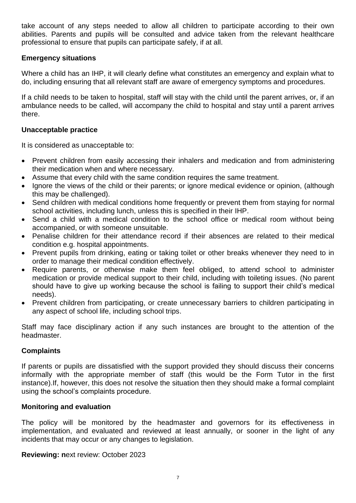take account of any steps needed to allow all children to participate according to their own abilities. Parents and pupils will be consulted and advice taken from the relevant healthcare professional to ensure that pupils can participate safely, if at all.

#### **Emergency situations**

Where a child has an IHP, it will clearly define what constitutes an emergency and explain what to do, including ensuring that all relevant staff are aware of emergency symptoms and procedures.

If a child needs to be taken to hospital, staff will stay with the child until the parent arrives, or, if an ambulance needs to be called, will accompany the child to hospital and stay until a parent arrives there.

#### **Unacceptable practice**

It is considered as unacceptable to:

- Prevent children from easily accessing their inhalers and medication and from administering their medication when and where necessary.
- Assume that every child with the same condition requires the same treatment.
- Ignore the views of the child or their parents; or ignore medical evidence or opinion, (although this may be challenged).
- Send children with medical conditions home frequently or prevent them from staying for normal school activities, including lunch, unless this is specified in their IHP.
- Send a child with a medical condition to the school office or medical room without being accompanied, or with someone unsuitable.
- Penalise children for their attendance record if their absences are related to their medical condition e.g. hospital appointments.
- Prevent pupils from drinking, eating or taking toilet or other breaks whenever they need to in order to manage their medical condition effectively.
- Require parents, or otherwise make them feel obliged, to attend school to administer medication or provide medical support to their child, including with toileting issues. (No parent should have to give up working because the school is failing to support their child's medical needs).
- Prevent children from participating, or create unnecessary barriers to children participating in any aspect of school life, including school trips.

Staff may face disciplinary action if any such instances are brought to the attention of the headmaster.

#### **Complaints**

If parents or pupils are dissatisfied with the support provided they should discuss their concerns informally with the appropriate member of staff (this would be the Form Tutor in the first instance).If, however, this does not resolve the situation then they should make a formal complaint using the school's complaints procedure.

#### **Monitoring and evaluation**

The policy will be monitored by the headmaster and governors for its effectiveness in implementation, and evaluated and reviewed at least annually, or sooner in the light of any incidents that may occur or any changes to legislation.

**Reviewing: n**ext review: October 2023